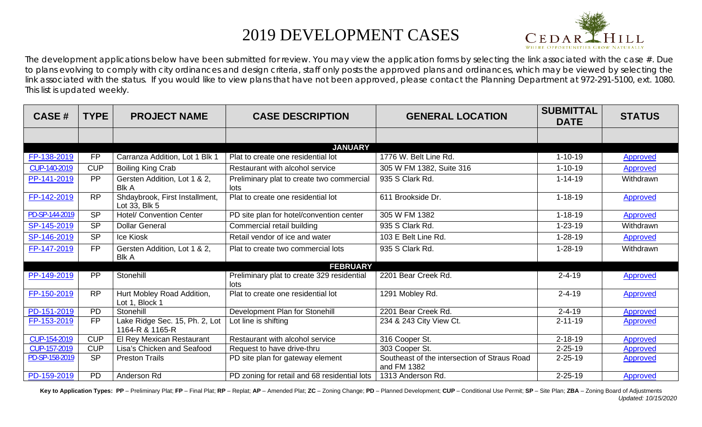## 2019 DEVELOPMENT CASES



The development applications below have been submitted for review. You may view the application forms by selecting the link associated with the case  $#$ . Due to plans evolving to comply with city ordinances and design criteria, staff only posts the approved plans and ordinances, which may be viewed by selecting the link associated with the status. If you would like to view plans that have not been approved, please contact the Planning Department at 972-291-5100, ext. 1080. This list is updated weekly.

| <b>CASE#</b>   | <b>TYPE</b> | <b>PROJECT NAME</b>                               | <b>CASE DESCRIPTION</b>                            | <b>GENERAL LOCATION</b>                                     | <b>SUBMITTAL</b><br><b>DATE</b> | <b>STATUS</b>   |
|----------------|-------------|---------------------------------------------------|----------------------------------------------------|-------------------------------------------------------------|---------------------------------|-----------------|
|                |             |                                                   |                                                    |                                                             |                                 |                 |
|                |             |                                                   |                                                    |                                                             |                                 |                 |
| FP-138-2019    | <b>FP</b>   | Carranza Addition, Lot 1 Blk 1                    | Plat to create one residential lot                 | 1776 W. Belt Line Rd.                                       | $1 - 10 - 19$                   | Approved        |
| CUP-140-2019   | <b>CUP</b>  | <b>Boiling King Crab</b>                          | Restaurant with alcohol service                    | 305 W FM 1382, Suite 316                                    | $1 - 10 - 19$                   | Approved        |
| PP-141-2019    | <b>PP</b>   | Gersten Addition, Lot 1 & 2,<br><b>Blk A</b>      | Preliminary plat to create two commercial<br>lots  | 935 S Clark Rd.                                             | $1 - 14 - 19$                   | Withdrawn       |
| FP-142-2019    | <b>RP</b>   | Shdaybrook, First Installment,<br>Lot 33, Blk 5   | Plat to create one residential lot                 | 611 Brookside Dr.                                           | $1 - 18 - 19$                   | <b>Approved</b> |
| PD-SP-144-2019 | <b>SP</b>   | <b>Hotel/ Convention Center</b>                   | PD site plan for hotel/convention center           | 305 W FM 1382                                               | $1 - 18 - 19$                   | Approved        |
| SP-145-2019    | <b>SP</b>   | <b>Dollar General</b>                             | Commercial retail building                         | 935 S Clark Rd.                                             | $1 - 23 - 19$                   | Withdrawn       |
| SP-146-2019    | <b>SP</b>   | Ice Kiosk                                         | Retail vendor of ice and water                     | 103 E Belt Line Rd.                                         | $1 - 28 - 19$                   | <b>Approved</b> |
| FP-147-2019    | <b>FP</b>   | Gersten Addition, Lot 1 & 2,<br><b>Blk A</b>      | Plat to create two commercial lots                 | 935 S Clark Rd.                                             | $1 - 28 - 19$                   | Withdrawn       |
|                |             |                                                   | <b>FEBRUARY</b>                                    |                                                             |                                 |                 |
| PP-149-2019    | PP          | Stonehill                                         | Preliminary plat to create 329 residential<br>lots | 2201 Bear Creek Rd.                                         | $2 - 4 - 19$                    | <b>Approved</b> |
| FP-150-2019    | <b>RP</b>   | Hurt Mobley Road Addition,<br>Lot 1, Block 1      | Plat to create one residential lot                 | 1291 Mobley Rd.                                             | $2 - 4 - 19$                    | Approved        |
| PD-151-2019    | <b>PD</b>   | Stonehill                                         | Development Plan for Stonehill                     | 2201 Bear Creek Rd.                                         | $2 - 4 - 19$                    | <b>Approved</b> |
| FP-153-2019    | <b>FP</b>   | Lake Ridge Sec. 15, Ph. 2, Lot<br>1164-R & 1165-R | Lot line is shifting                               | 234 & 243 City View Ct.                                     | $2 - 11 - 19$                   | <b>Approved</b> |
| CUP-154-2019   | <b>CUP</b>  | El Rey Mexican Restaurant                         | Restaurant with alcohol service                    | 316 Cooper St.                                              | $2 - 18 - 19$                   | Approved        |
| CUP-157-2019   | <b>CUP</b>  | Lisa's Chicken and Seafood                        | Request to have drive-thru                         | 303 Cooper St.                                              | $2 - 25 - 19$                   | <b>Approved</b> |
| PD-SP-158-2019 | <b>SP</b>   | <b>Preston Trails</b>                             | PD site plan for gateway element                   | Southeast of the intersection of Straus Road<br>and FM 1382 | $2 - 25 - 19$                   | <b>Approved</b> |
| PD-159-2019    | <b>PD</b>   | Anderson Rd                                       | PD zoning for retail and 68 residential lots       | 1313 Anderson Rd.                                           | $2 - 25 - 19$                   | <b>Approved</b> |

Key to Application Types: PP - Preliminary Plat; FP - Final Plat; RP - Replat; AP - Amended Plat; ZC - Zoning Change; PD - Planned Development; CUP - Conditional Use Permit; SP - Site Plan; ZBA - Zoning Board of Adjustment *Updated: 10/15/2020*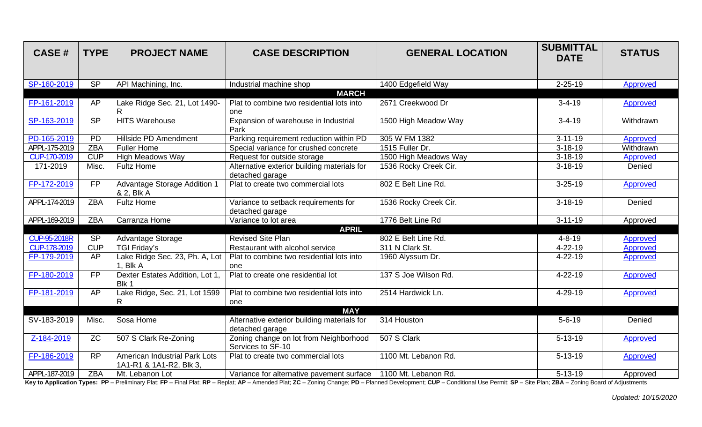| <b>CASE#</b>        | <b>TYPE</b>     | <b>PROJECT NAME</b>                                      | <b>CASE DESCRIPTION</b>                                        | <b>GENERAL LOCATION</b> | <b>SUBMITTAL</b><br><b>DATE</b> | <b>STATUS</b>   |
|---------------------|-----------------|----------------------------------------------------------|----------------------------------------------------------------|-------------------------|---------------------------------|-----------------|
|                     |                 |                                                          |                                                                |                         |                                 |                 |
| SP-160-2019         | SP              | API Machining, Inc.                                      | Industrial machine shop                                        | 1400 Edgefield Way      | $2 - 25 - 19$                   | Approved        |
|                     |                 |                                                          | <b>MARCH</b>                                                   |                         |                                 |                 |
| FP-161-2019         | <b>AP</b>       | Lake Ridge Sec. 21, Lot 1490-                            | Plat to combine two residential lots into<br>one               | 2671 Creekwood Dr       | $3 - 4 - 19$                    | Approved        |
| SP-163-2019         | SP              | <b>HITS Warehouse</b>                                    | Expansion of warehouse in Industrial<br>Park                   | 1500 High Meadow Way    | $3 - 4 - 19$                    | Withdrawn       |
| PD-165-2019         | <b>PD</b>       | Hillside PD Amendment                                    | Parking requirement reduction within PD                        | 305 W FM 1382           | $3 - 11 - 19$                   | Approved        |
| APPL-175-2019       | <b>ZBA</b>      | <b>Fuller Home</b>                                       | Special variance for crushed concrete                          | 1515 Fuller Dr.         | $3 - 18 - 19$                   | Withdrawn       |
| CUP-170-2019        | CUP             | <b>High Meadows Way</b>                                  | Request for outside storage                                    | 1500 High Meadows Way   | $3 - 18 - 19$                   | <b>Approved</b> |
| 171-2019            | Misc.           | <b>Fultz Home</b>                                        | Alternative exterior building materials for<br>detached garage | 1536 Rocky Creek Cir.   | $3 - 18 - 19$                   | Denied          |
| FP-172-2019         | <b>FP</b>       | Advantage Storage Addition 1<br>& 2, Blk A               | Plat to create two commercial lots                             | 802 E Belt Line Rd.     | $3 - 25 - 19$                   | Approved        |
| APPL-174-2019       | <b>ZBA</b>      | <b>Fultz Home</b>                                        | Variance to setback requirements for<br>detached garage        | 1536 Rocky Creek Cir.   | $3 - 18 - 19$                   | Denied          |
| APPL-169-2019       | <b>ZBA</b>      | Carranza Home                                            | Variance to lot area                                           | 1776 Belt Line Rd       | $3 - 11 - 19$                   | Approved        |
|                     |                 |                                                          | <b>APRIL</b>                                                   |                         |                                 |                 |
| <b>CUP-95-2018R</b> | <b>SP</b>       | Advantage Storage                                        | <b>Revised Site Plan</b>                                       | 802 E Belt Line Rd.     | $4 - 8 - 19$                    | <b>Approved</b> |
| CUP-178-2019        | CUP             | <b>TGI Friday's</b>                                      | Restaurant with alcohol service                                | 311 N Clark St.         | $4 - 22 - 19$                   | <b>Approved</b> |
| FP-179-2019         | <b>AP</b>       | Lake Ridge Sec. 23, Ph. A, Lot<br>1, Blk A               | Plat to combine two residential lots into<br>one               | 1960 Alyssum Dr.        | $4 - 22 - 19$                   | <b>Approved</b> |
| FP-180-2019         | $\overline{FP}$ | Dexter Estates Addition, Lot 1<br>Blk 1                  | Plat to create one residential lot                             | 137 S Joe Wilson Rd.    | 4-22-19                         | Approved        |
| FP-181-2019         | AP              | Lake Ridge, Sec. 21, Lot 1599                            | Plat to combine two residential lots into                      | 2514 Hardwick Ln.       | 4-29-19                         | Approved        |
|                     |                 | R.                                                       | one                                                            |                         |                                 |                 |
|                     |                 |                                                          | <b>MAY</b>                                                     |                         |                                 |                 |
| SV-183-2019         | Misc.           | Sosa Home                                                | Alternative exterior building materials for<br>detached garage | 314 Houston             | $5 - 6 - 19$                    | Denied          |
| Z-184-2019          | <b>ZC</b>       | 507 S Clark Re-Zoning                                    | Zoning change on lot from Neighborhood<br>Services to SF-10    | 507 S Clark             | $5 - 13 - 19$                   | Approved        |
| FP-186-2019         | <b>RP</b>       | American Industrial Park Lots<br>1A1-R1 & 1A1-R2, Blk 3, | Plat to create two commercial lots                             | 1100 Mt. Lebanon Rd.    | $5 - 13 - 19$                   | Approved        |
| APPL-187-2019       | <b>ZBA</b>      | Mt. Lebanon Lot                                          | Variance for alternative pavement surface                      | 1100 Mt. Lebanon Rd.    | $5 - 13 - 19$                   | Approved        |

Key to Application Types: PP - Preliminary Plat; FP - Final Plat; RP - Replat; AP - Amended Plat; ZC - Zoning Change; PD - Planned Development; CUP - Conditional Use Permit; SP - Site Plan; ZBA - Zoning Board of Adjustment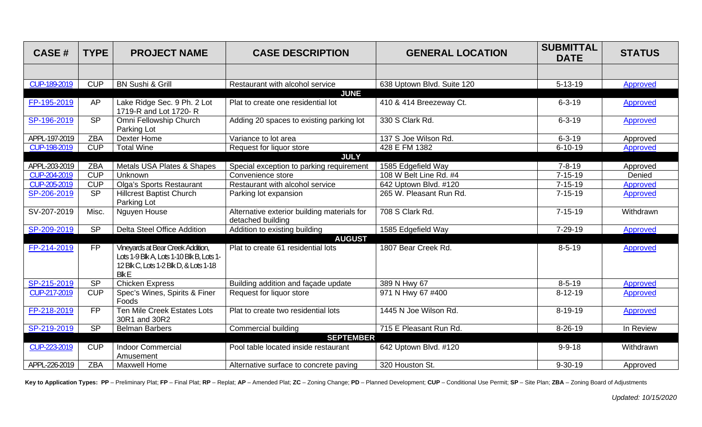| <b>CASE#</b>  | <b>TYPE</b> | <b>PROJECT NAME</b>                                                                                                                          | <b>CASE DESCRIPTION</b>                                          | <b>GENERAL LOCATION</b>    | <b>SUBMITTAL</b><br><b>DATE</b> | <b>STATUS</b>   |
|---------------|-------------|----------------------------------------------------------------------------------------------------------------------------------------------|------------------------------------------------------------------|----------------------------|---------------------------------|-----------------|
|               |             |                                                                                                                                              |                                                                  |                            |                                 |                 |
| CUP-189-2019  | <b>CUP</b>  | <b>BN Sushi &amp; Grill</b>                                                                                                                  | Restaurant with alcohol service                                  | 638 Uptown Blvd. Suite 120 | $5 - 13 - 19$                   | Approved        |
|               |             |                                                                                                                                              | <b>JUNE</b>                                                      |                            |                                 |                 |
| FP-195-2019   | AP          | Lake Ridge Sec. 9 Ph. 2 Lot<br>1719-R and Lot 1720- R                                                                                        | Plat to create one residential lot                               | 410 & 414 Breezeway Ct.    | $6 - 3 - 19$                    | <b>Approved</b> |
| SP-196-2019   | <b>SP</b>   | Omni Fellowship Church<br>Parking Lot                                                                                                        | Adding 20 spaces to existing parking lot                         | 330 S Clark Rd.            | $6 - 3 - 19$                    | Approved        |
| APPL-197-2019 | <b>ZBA</b>  | Dexter Home                                                                                                                                  | Variance to lot area                                             | 137 S Joe Wilson Rd.       | $6 - 3 - 19$                    | Approved        |
| CUP-198-2019  | <b>CUP</b>  | <b>Total Wine</b>                                                                                                                            | Request for liquor store                                         | 428 E FM 1382              | $6 - 10 - 19$                   | Approved        |
|               |             |                                                                                                                                              | <b>JULY</b>                                                      |                            |                                 |                 |
| APPL-203-2019 | <b>ZBA</b>  | Metals USA Plates & Shapes                                                                                                                   | Special exception to parking requirement                         | 1585 Edgefield Way         | $7 - 8 - 19$                    | Approved        |
| CUP-204-2019  | <b>CUP</b>  | <b>Unknown</b>                                                                                                                               | Convenience store                                                | 108 W Belt Line Rd. #4     | $7 - 15 - 19$                   | Denied          |
| CUP-205-2019  | CUP         | <b>Olga's Sports Restaurant</b>                                                                                                              | Restaurant with alcohol service                                  | 642 Uptown Blvd. #120      | $7 - 15 - 19$                   | <b>Approved</b> |
| SP-206-2019   | <b>SP</b>   | <b>Hillcrest Baptist Church</b><br>Parking Lot                                                                                               | Parking lot expansion                                            | 265 W. Pleasant Run Rd.    | $7 - 15 - 19$                   | Approved        |
| SV-207-2019   | Misc.       | Nguyen House                                                                                                                                 | Alternative exterior building materials for<br>detached building | 708 S Clark Rd.            | $7 - 15 - 19$                   | Withdrawn       |
| SP-209-2019   | SP          | Delta Steel Office Addition                                                                                                                  | Addition to existing building                                    | 1585 Edgefield Way         | 7-29-19                         | Approved        |
|               |             |                                                                                                                                              | <b>AUGUST</b>                                                    |                            |                                 |                 |
| FP-214-2019   | <b>FP</b>   | <b>Vineyards at Bear Creek Addition,</b><br>Lots 1-9 Blk A, Lots 1-10 Blk B, Lots 1-<br>12 Blk C, Lots 1-2 Blk D, & Lots 1-18<br><b>BlkE</b> | Plat to create 61 residential lots                               | 1807 Bear Creek Rd.        | $8 - 5 - 19$                    | Approved        |
| SP-215-2019   | SP          | <b>Chicken Express</b>                                                                                                                       | Building addition and façade update                              | 389 N Hwy 67               | $8 - 5 - 19$                    | Approved        |
| CUP-217-2019  | <b>CUP</b>  | Spec's Wines, Spirits & Finer<br>Foods                                                                                                       | Request for liquor store                                         | 971 N Hwy 67 #400          | $8 - 12 - 19$                   | Approved        |
| FP-218-2019   | <b>FP</b>   | <b>Ten Mile Creek Estates Lots</b><br>30R1 and 30R2                                                                                          | Plat to create two residential lots                              | 1445 N Joe Wilson Rd.      | $8-19-19$                       | Approved        |
| SP-219-2019   | <b>SP</b>   | <b>Belman Barbers</b>                                                                                                                        | <b>Commercial building</b>                                       | 715 E Pleasant Run Rd.     | $8 - 26 - 19$                   | In Review       |
|               |             |                                                                                                                                              | <b>SEPTEMBER</b>                                                 |                            |                                 |                 |
| CUP-223-2019  | <b>CUP</b>  | <b>Indoor Commercial</b><br>Amusement                                                                                                        | Pool table located inside restaurant                             | 642 Uptown Blvd. #120      | $9 - 9 - 18$                    | Withdrawn       |
| APPL-226-2019 | <b>ZBA</b>  | Maxwell Home                                                                                                                                 | Alternative surface to concrete paving                           | 320 Houston St.            | $9 - 30 - 19$                   | Approved        |

Key to Application Types: PP - Preliminary Plat; FP - Final Plat; RP - Replat; AP - Amended Plat; ZC - Zoning Change; PD - Planned Development; CUP - Conditional Use Permit; SP - Site Plan; ZBA - Zoning Board of Adjustment